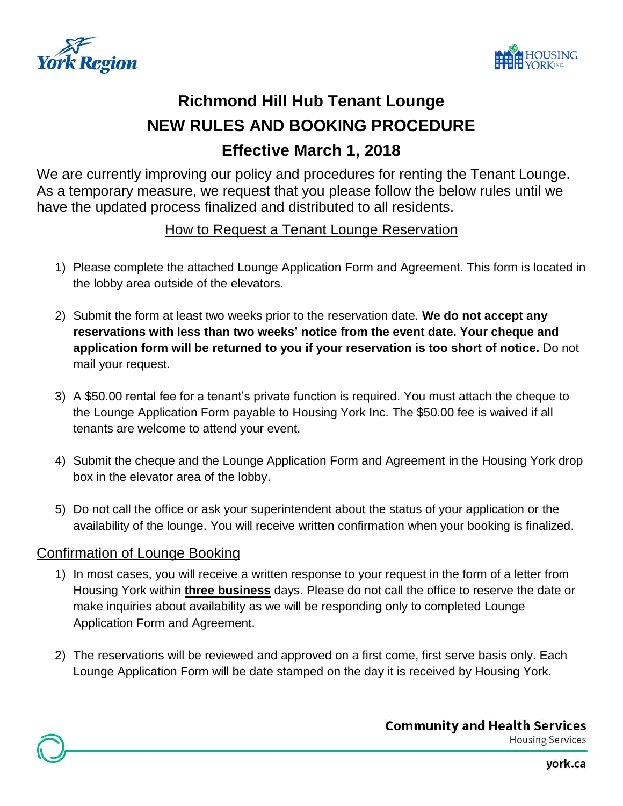



# **Richmond Hill Hub Tenant Lounge NEW RULES AND BOOKING PROCEDURE Effective March 1, 2018**

We are currently improving our policy and procedures for renting the Tenant Lounge. As a temporary measure, we request that you please follow the below rules until we have the updated process finalized and distributed to all residents.

#### How to Request a Tenant Lounge Reservation

- 1) Please complete the attached Lounge Application Form and Agreement. This form is located in the lobby area outside of the elevators.
- 2) Submit the form at least two weeks prior to the reservation date. **We do not accept any reservations with less than two weeks' notice from the event date. Your cheque and application form will be returned to you if your reservation is too short of notice.** Do not mail your request.
- 3) A \$50.00 rental fee for a tenant's private function is required. You must attach the cheque to the Lounge Application Form payable to Housing York Inc. The \$50.00 fee is waived if all tenants are welcome to attend your event.
- 4) Submit the cheque and the Lounge Application Form and Agreement in the Housing York drop box in the elevator area of the lobby.
- 5) Do not call the office or ask your superintendent about the status of your application or the availability of the lounge. You will receive written confirmation when your booking is finalized.

#### Confirmation of Lounge Booking

- 1) In most cases, you will receive a written response to your request in the form of a letter from Housing York within **three business** days. Please do not call the office to reserve the date or make inquiries about availability as we will be responding only to completed Lounge Application Form and Agreement.
- 2) The reservations will be reviewed and approved on a first come, first serve basis only. Each Lounge Application Form will be date stamped on the day it is received by Housing York.

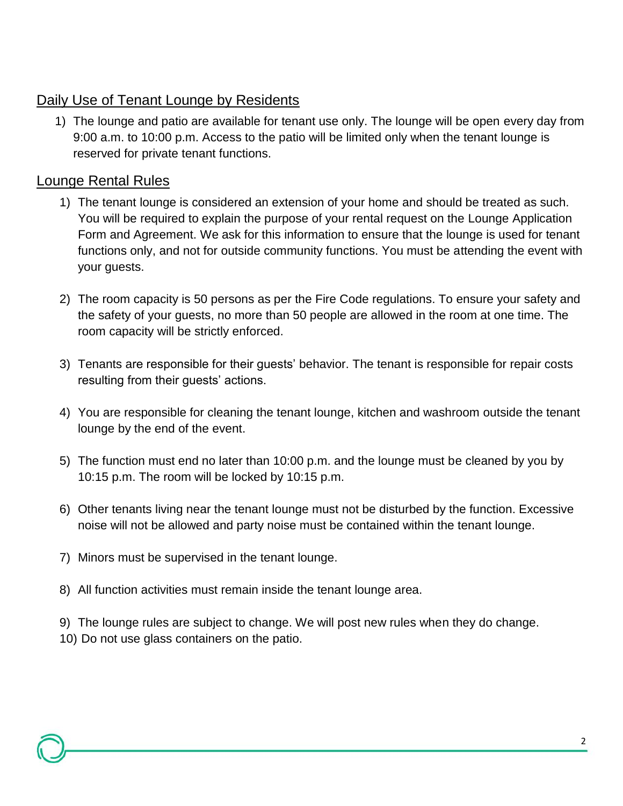### Daily Use of Tenant Lounge by Residents

1) The lounge and patio are available for tenant use only. The lounge will be open every day from 9:00 a.m. to 10:00 p.m. Access to the patio will be limited only when the tenant lounge is reserved for private tenant functions.

#### Lounge Rental Rules

- 1) The tenant lounge is considered an extension of your home and should be treated as such. You will be required to explain the purpose of your rental request on the Lounge Application Form and Agreement. We ask for this information to ensure that the lounge is used for tenant functions only, and not for outside community functions. You must be attending the event with your guests.
- 2) The room capacity is 50 persons as per the Fire Code regulations. To ensure your safety and the safety of your guests, no more than 50 people are allowed in the room at one time. The room capacity will be strictly enforced.
- 3) Tenants are responsible for their guests' behavior. The tenant is responsible for repair costs resulting from their guests' actions.
- 4) You are responsible for cleaning the tenant lounge, kitchen and washroom outside the tenant lounge by the end of the event.
- 5) The function must end no later than 10:00 p.m. and the lounge must be cleaned by you by 10:15 p.m. The room will be locked by 10:15 p.m.
- 6) Other tenants living near the tenant lounge must not be disturbed by the function. Excessive noise will not be allowed and party noise must be contained within the tenant lounge.
- 7) Minors must be supervised in the tenant lounge.
- 8) All function activities must remain inside the tenant lounge area.

9) The lounge rules are subject to change. We will post new rules when they do change. 10) Do not use glass containers on the patio.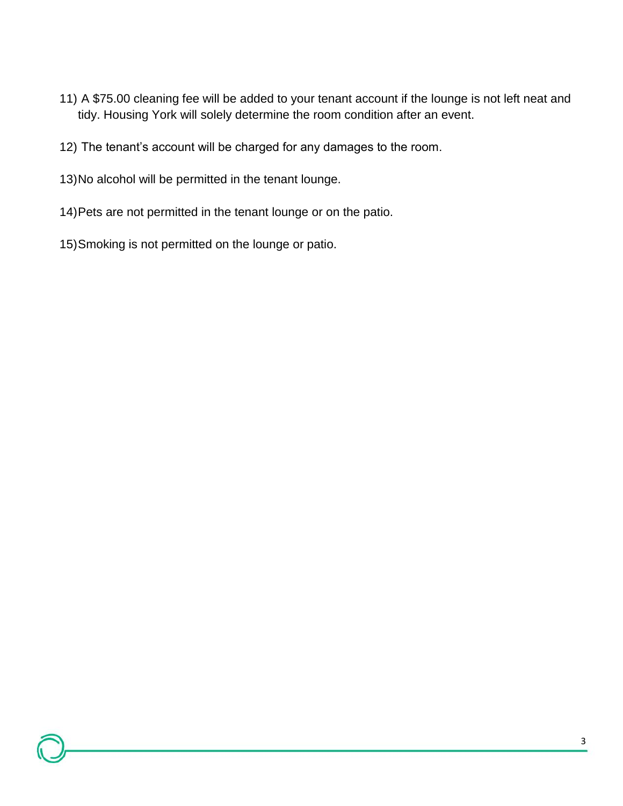- 11) A \$75.00 cleaning fee will be added to your tenant account if the lounge is not left neat and tidy. Housing York will solely determine the room condition after an event.
- 12) The tenant's account will be charged for any damages to the room.
- 13)No alcohol will be permitted in the tenant lounge.
- 14)Pets are not permitted in the tenant lounge or on the patio.
- 15)Smoking is not permitted on the lounge or patio.